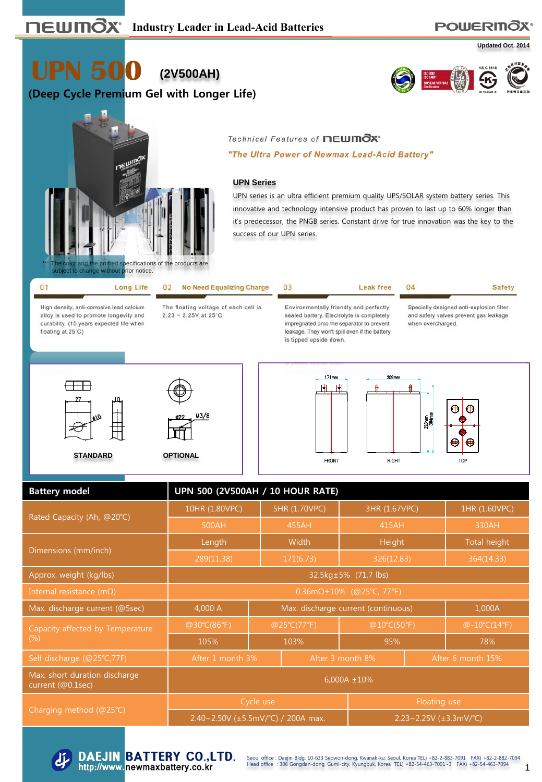# **POWERITOX®**

**Updated Oct. 2014**

**UPN 500 (2V500AH)**

### **(Deep Cycle Premium Gel with Longer Life)**





#### Technical Features of newmOx\*

"The Ultra Power of Newmax Lead-Acid Battery"

#### **UPN Series**

UPN series is an ultra efficient premium quality UPS/SOLAR system battery series. This innovative and technology intensive product has proven to last up to 60% longer than it's predecessor, the PNGB series. Constant drive for true innovation was the key to the success of our UPN series.

Leak free

04

| <b>Daploot to britaing mithods prior hotico:</b> |                                      |                      |
|--------------------------------------------------|--------------------------------------|----------------------|
| <b>Long Life</b>                                 | 02 No Need Equalizing Charge         |                      |
| High daneity, anti-correctua load calcium        | The floating voltage of each cell is | Environmentally frie |

alloy is used to promote longevity and durability. (15 years expected life when floating at 25°C)

 $2.23 - 2.25V$  at 25°C

endly and perfectly sealed battery. Electrolyte is completely impregnated onto the separator to prevent leakage. They won't spill even if the battery is tipped upside down.

**FRONT** 

**Safety** 

Specially designed anti-explosion filter and safety valves prevent gas leakage when overcharged.



M3/8



**RIGHT** 



| <b>Battery model</b>                               | UPN 500 (2V500AH / 10 HOUR RATE)         |                                               |               |                              |                     |  |  |  |
|----------------------------------------------------|------------------------------------------|-----------------------------------------------|---------------|------------------------------|---------------------|--|--|--|
|                                                    | 10HR (1.80VPC)                           |                                               | 5HR (1.70VPC) | 3HR (1.67VPC)                | 1HR (1.60VPC)       |  |  |  |
| Rated Capacity (Ah, @20°C)                         | 500AH                                    |                                               | 455AH         | 415AH                        | 330AH               |  |  |  |
| Dimensions (mm/inch)                               | Length                                   |                                               | <b>Width</b>  | Height                       | <b>Total height</b> |  |  |  |
|                                                    | 289(11.38)                               | 171(6.73)                                     |               | 326(12.83)                   | 364(14.33)          |  |  |  |
| Approx. weight (kg/lbs)                            | 32.5kg±5% (71.7 lbs)                     |                                               |               |                              |                     |  |  |  |
| Internal resistance (m $\Omega$ )                  | 0.36m $\Omega$ ±10% (@25°C, 77°F)        |                                               |               |                              |                     |  |  |  |
| Max. discharge current (@5sec)                     | 4,000 A                                  | Max. discharge current (continuous)<br>1,000A |               |                              |                     |  |  |  |
| Capacity affected by Temperature                   | @30°C(86°F)                              |                                               | @25°C(77°F)   | @10°C(50°F)                  | @-10°C(14°F)        |  |  |  |
| $(\%)$                                             | 105%<br>103%                             |                                               | 95%           |                              | 78%                 |  |  |  |
| Self discharge (@25°C,77F)                         | After 1 month 3%                         |                                               |               | After 3 month 8%             | After 6 month 15%   |  |  |  |
| Max. short duration discharge<br>current (@0.1sec) | $6,000A \pm 10\%$                        |                                               |               |                              |                     |  |  |  |
|                                                    |                                          | Cycle use                                     |               | Floating use                 |                     |  |  |  |
| Charging method (@25°C)                            | 2.40~2.50V ( $\pm$ 5.5mV/°C) / 200A max. |                                               |               | 2.23~2.25V $(\pm 3.3$ mV/°C) |                     |  |  |  |



**DAEJIN BATTERY CO., LTD.** http://www.newmaxbattery.co.kr